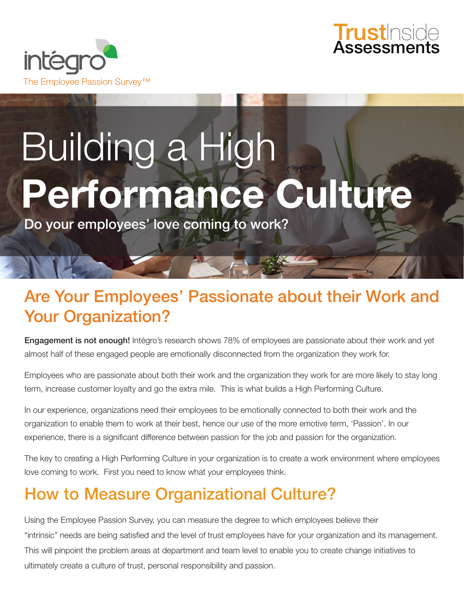



# Building a High **Performance Culture**

Do your employees' love coming to work?

## Are Your Employees' Passionate about their Work and Your Organization?

**Engagement is not enough!** Intégro's research shows 78% of employees are passionate about their work and yet almost half of these engaged people are emotionally disconnected from the organization they work for.

Employees who are passionate about both their work and the organization they work for are more likely to stay long term, increase customer loyalty and go the extra mile. This is what builds a High Performing Culture.

In our experience, organizations need their employees to be emotionally connected to both their work and the organization to enable them to work at their best, hence our use of the more emotive term, 'Passion'. In our experience, there is a significant difference between passion for the job and passion for the organization.

The key to creating a High Performing Culture in your organization is to create a work environment where employees love coming to work. First you need to know what your employees think.

## How to Measure Organizational Culture?

Using the Employee Passion Survey, you can measure the degree to which employees believe their "intrinsic" needs are being satisfied and the level of trust employees have for your organization and its management. This will pinpoint the problem areas at department and team level to enable you to create change initiatives to ultimately create a culture of trust, personal responsibility and passion.